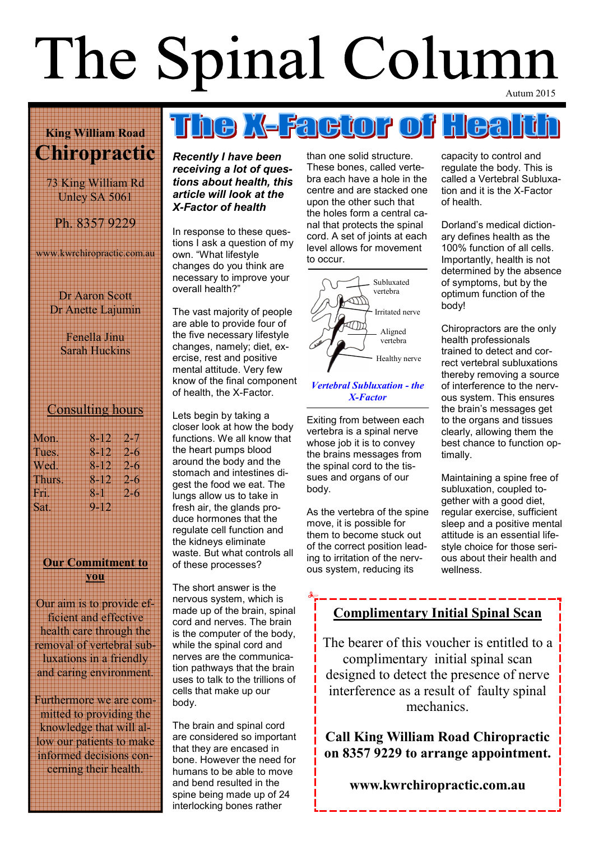# The Spinal Column

#### King William Road Chiropractic

73 King William Rd Unley SA 5061

Ph. 8357 9229

www.kwrchiropractic.com.au

Dr Aaron Scott Dr Anette Lajumin

> Fenella Jinu Sarah Huckins

#### Consulting hours

| Mon.   | $8 - 12$<br>2.37    |
|--------|---------------------|
| Tues.  | $8 - 12$<br>$2 - 6$ |
| Wed.   | $8 - 12$<br>- 2.5   |
| Thurs. | $8 - 12$<br>$2 - 6$ |
| Fn.    | $8 - 1$<br>$2 - 6$  |
| Sat.   | 0.919               |
|        |                     |

#### Our Commitment to you

Our aim is to provide efficient and effective health care through the removal of vertebral subluxations in a friendly and caring environment.

Furthermore we are committed to providing the knowledge that will allow our patients to make informed decisions concerning their health.

Recently I have been receiving a lot of questions about health, this article will look at the X-Factor of health

In response to these questions I ask a question of my own. "What lifestyle changes do you think are necessary to improve your overall health?"

The vast majority of people are able to provide four of the five necessary lifestyle changes, namely; diet, exercise, rest and positive mental attitude. Very few know of the final component of health, the X-Factor.

Lets begin by taking a closer look at how the body functions. We all know that the heart pumps blood around the body and the stomach and intestines digest the food we eat. The lungs allow us to take in fresh air, the glands produce hormones that the regulate cell function and the kidneys eliminate waste. But what controls all of these processes?

The short answer is the nervous system, which is made up of the brain, spinal cord and nerves. The brain is the computer of the body, while the spinal cord and nerves are the communication pathways that the brain uses to talk to the trillions of cells that make up our body.

The brain and spinal cord are considered so important that they are encased in bone. However the need for humans to be able to move and bend resulted in the spine being made up of 24 interlocking bones rather

than one solid structure. These bones, called vertebra each have a hole in the centre and are stacked one upon the other such that the holes form a central canal that protects the spinal cord. A set of joints at each level allows for movement to occur.

<u>rhe X-Faetor of Hea</u>



#### Vertebral Subluxation - the X-Factor

Exiting from between each vertebra is a spinal nerve whose job it is to convey the brains messages from the spinal cord to the tissues and organs of our body.

As the vertebra of the spine move, it is possible for them to become stuck out of the correct position leading to irritation of the nervous system, reducing its

capacity to control and regulate the body. This is called a Vertebral Subluxation and it is the X-Factor of health.

Dorland's medical dictionary defines health as the 100% function of all cells. Importantly, health is not determined by the absence of symptoms, but by the optimum function of the body!

Chiropractors are the only health professionals trained to detect and correct vertebral subluxations thereby removing a source of interference to the nervous system. This ensures the brain's messages get to the organs and tissues clearly, allowing them the best chance to function optimally.

Maintaining a spine free of subluxation, coupled together with a good diet, regular exercise, sufficient sleep and a positive mental attitude is an essential lifestyle choice for those serious about their health and wellness.

#### Complimentary Initial Spinal Scan

The bearer of this voucher is entitled to a complimentary initial spinal scan designed to detect the presence of nerve interference as a result of faulty spinal mechanics.

Call King William Road Chiropractic on 8357 9229 to arrange appointment.

#### www.kwrchiropractic.com.au